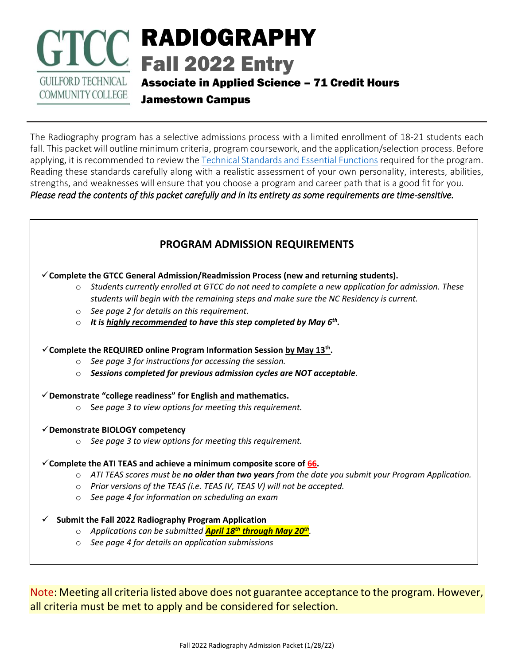# RADIOGRAPHY Fall 2022 Entry **GUILFORD TECHNICAL** Associate in Applied Science – 71 Credit Hours **COMMUNITY COLLEGE**

Jamestown Campus

The Radiography program has a selective admissions process with a limited enrollment of 18-21 students each fall. This packet will outline minimum criteria, program coursework, and the application/selection process. Before applying, it is recommended to review the [Technical Standards and Essential Functions](https://www.gtcc.edu/_files/programs/GTCCRadiographyEssentialFunctions.pdf) required for the program. Reading these standards carefully along with a realistic assessment of your own personality, interests, abilities, strengths, and weaknesses will ensure that you choose a program and career path that is a good fit for you. *Please read the contents of this packet carefully and in its entirety as some requirements are time-sensitive.* 

# **PROGRAM ADMISSION REQUIREMENTS**

✓**Complete the GTCC General Admission/Readmission Process (new and returning students).**

- o *Students currently enrolled at GTCC do not need to complete a new application for admission. These students will begin with the remaining steps and make sure the NC Residency is current.*
- o *See page 2 for details on this requirement.*
- o *It is highly recommended to have this step completed by May 6th .*

### ✓**Complete the REQUIRED online Program Information Session by May 13th .**

- o *See page 3 for instructions for accessing the session.*
- o *Sessions completed for previous admission cycles are NOT acceptable.*
- ✓**Demonstrate "college readiness" for English and mathematics.** 
	- o S*ee page 3 to view options for meeting this requirement.*
- ✓**Demonstrate BIOLOGY competency** 
	- o *See page 3 to view options for meeting this requirement.*

### $\checkmark$  Complete the ATI TEAS and achieve a minimum composite score of 66.

- o *ATI TEAS scores must be no older than two years from the date you submit your Program Application.*
- o *Prior versions of the TEAS (i.e. TEAS IV, TEAS V) will not be accepted.*
- o *See page 4 for information on scheduling an exam*

### ✓ **Submit the Fall 2022 Radiography Program Application**

- o *Applications can be submitted April 18th through May 20th .*
- o *See page 4 for details on application submissions*

Note: Meeting all criteria listed above does not guarantee acceptance to the program. However, all criteria must be met to apply and be considered for selection.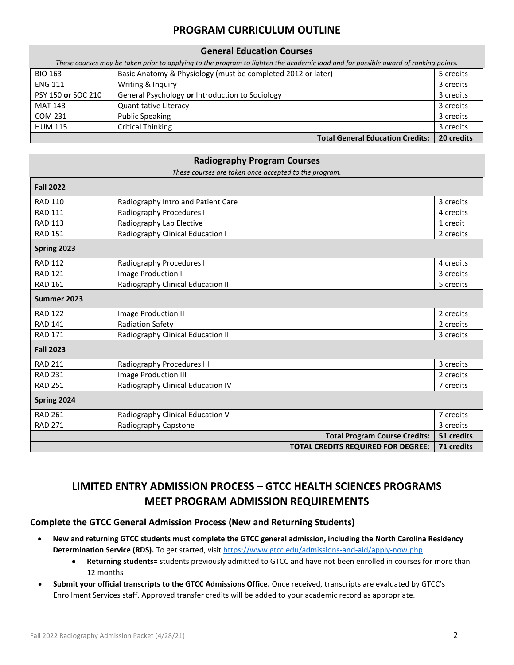## **PROGRAM CURRICULUM OUTLINE**

#### **General Education Courses**

| These courses may be taken prior to applying to the program to lighten the academic load and for possible award of ranking points. |                                                              |            |
|------------------------------------------------------------------------------------------------------------------------------------|--------------------------------------------------------------|------------|
| <b>BIO 163</b>                                                                                                                     | Basic Anatomy & Physiology (must be completed 2012 or later) | 5 credits  |
| <b>ENG 111</b>                                                                                                                     | Writing & Inquiry                                            | 3 credits  |
| PSY 150 or SOC 210                                                                                                                 | General Psychology or Introduction to Sociology              | 3 credits  |
| <b>MAT 143</b>                                                                                                                     | Quantitative Literacy                                        | 3 credits  |
| COM 231                                                                                                                            | <b>Public Speaking</b>                                       | 3 credits  |
| <b>HUM 115</b>                                                                                                                     | Critical Thinking                                            | 3 credits  |
|                                                                                                                                    | <b>Total General Education Credits:</b>                      | 20 credits |

#### **Radiography Program Courses**

*These courses are taken once accepted to the program.*

| <b>Fall 2022</b> |                                    |                                           |            |
|------------------|------------------------------------|-------------------------------------------|------------|
| <b>RAD 110</b>   | Radiography Intro and Patient Care |                                           | 3 credits  |
| <b>RAD 111</b>   | Radiography Procedures I           |                                           | 4 credits  |
| <b>RAD 113</b>   | Radiography Lab Elective           |                                           | 1 credit   |
| <b>RAD 151</b>   | Radiography Clinical Education I   |                                           | 2 credits  |
| Spring 2023      |                                    |                                           |            |
| <b>RAD 112</b>   | Radiography Procedures II          |                                           | 4 credits  |
| <b>RAD 121</b>   | Image Production I                 |                                           | 3 credits  |
| <b>RAD 161</b>   | Radiography Clinical Education II  |                                           | 5 credits  |
| Summer 2023      |                                    |                                           |            |
| <b>RAD 122</b>   | Image Production II                |                                           | 2 credits  |
| <b>RAD 141</b>   | <b>Radiation Safety</b>            |                                           | 2 credits  |
| <b>RAD 171</b>   | Radiography Clinical Education III |                                           | 3 credits  |
| <b>Fall 2023</b> |                                    |                                           |            |
| <b>RAD 211</b>   | Radiography Procedures III         |                                           | 3 credits  |
| <b>RAD 231</b>   | Image Production III               |                                           | 2 credits  |
| <b>RAD 251</b>   | Radiography Clinical Education IV  |                                           | 7 credits  |
| Spring 2024      |                                    |                                           |            |
| <b>RAD 261</b>   | Radiography Clinical Education V   |                                           | 7 credits  |
| <b>RAD 271</b>   | Radiography Capstone               |                                           | 3 credits  |
|                  |                                    | <b>Total Program Course Credits:</b>      | 51 credits |
|                  |                                    | <b>TOTAL CREDITS REQUIRED FOR DEGREE:</b> | 71 credits |

# **LIMITED ENTRY ADMISSION PROCESS – GTCC HEALTH SCIENCES PROGRAMS MEET PROGRAM ADMISSION REQUIREMENTS**

#### **Complete the GTCC General Admission Process (New and Returning Students)**

- **New and returning GTCC students must complete the GTCC general admission, including the North Carolina Residency**  Determination Service (RDS). To get started, visit<https://www.gtcc.edu/admissions-and-aid/apply-now.php>
	- **Returning students=** students previously admitted to GTCC and have not been enrolled in courses for more than 12 months
- **Submit your official transcripts to the GTCC Admissions Office.** Once received, transcripts are evaluated by GTCC's Enrollment Services staff. Approved transfer credits will be added to your academic record as appropriate.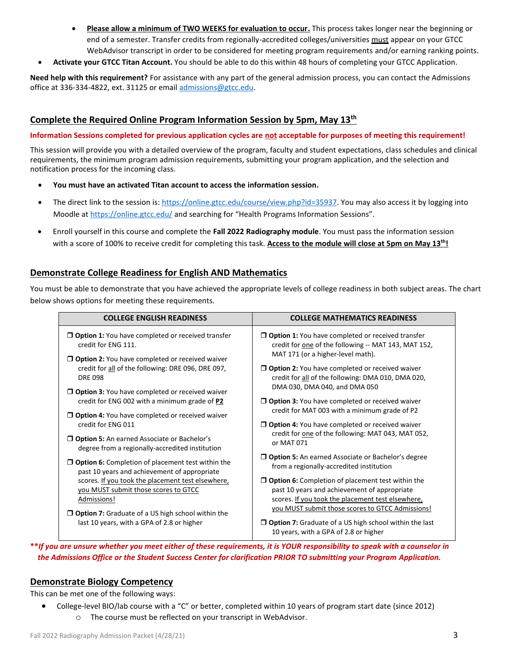- **Please allow a minimum of TWO WEEKS for evaluation to occur.** This process takes longer near the beginning or end of a semester. Transfer credits from regionally-accredited colleges/universities must appear on your GTCC WebAdvisor transcript in order to be considered for meeting program requirements and/or earning ranking points.
- **Activate your GTCC Titan Account.** You should be able to do this within 48 hours of completing your GTCC Application.

**Need help with this requirement?** For assistance with any part of the general admission process, you can contact the Admissions office at 336-334-4822, ext. 31125 or email [admissions@gtcc.edu.](mailto:admissions@gtcc.edu)

#### **Complete the Required Online Program Information Session by 5pm, May 13th**

#### **Information Sessions completed for previous application cycles are not acceptable for purposes of meeting this requirement!**

This session will provide you with a detailed overview of the program, faculty and student expectations, class schedules and clinical requirements, the minimum program admission requirements, submitting your program application, and the selection and notification process for the incoming class.

- **You must have an activated Titan account to access the information session.**
- The direct link to the session is: [https://online.gtcc.edu/course/view.php?id=35937.](https://online.gtcc.edu/course/view.php?id=35937) You may also access it by logging into Moodle a[t https://online.gtcc.edu/](https://online.gtcc.edu/) and searching for "Health Programs Information Sessions".
- Enroll yourself in this course and complete the **Fall 2022 Radiography module**. You must pass the information session with a score of 100% to receive credit for completing this task. **Access to the module will close at 5pm on May 13th!**

#### **Demonstrate College Readiness for English AND Mathematics**

You must be able to demonstrate that you have achieved the appropriate levels of college readiness in both subject areas. The chart below shows options for meeting these requirements.

| <b>COLLEGE ENGLISH READINESS</b>                                                                          | <b>COLLEGE MATHEMATICS READINESS</b>                                                                                                     |
|-----------------------------------------------------------------------------------------------------------|------------------------------------------------------------------------------------------------------------------------------------------|
| $\Box$ Option 1: You have completed or received transfer                                                  | $\Box$ Option 1: You have completed or received transfer                                                                                 |
| credit for ENG 111.                                                                                       | credit for one of the following -- MAT 143, MAT 152,                                                                                     |
| <b>D</b> Option 2: You have completed or received waiver                                                  | MAT 171 (or a higher-level math).                                                                                                        |
| credit for all of the following: DRE 096, DRE 097,                                                        | <b>D</b> Option 2: You have completed or received waiver                                                                                 |
| <b>DRE 098</b>                                                                                            | credit for all of the following: DMA 010, DMA 020,                                                                                       |
| <b>J Option 3:</b> You have completed or received waiver<br>credit for ENG 002 with a minimum grade of P2 | DMA 030, DMA 040, and DMA 050<br>$\Box$ Option 3: You have completed or received waiver<br>credit for MAT 003 with a minimum grade of P2 |
| <b>Option 4:</b> You have completed or received waiver<br>credit for ENG 011                              | <b>Option 4:</b> You have completed or received waiver                                                                                   |
| $\Box$ Option 5: An earned Associate or Bachelor's                                                        | credit for one of the following: MAT 043, MAT 052,                                                                                       |
| degree from a regionally-accredited institution                                                           | or MAT 071                                                                                                                               |
| $\Box$ Option 6: Completion of placement test within the                                                  | <b>D</b> Option 5: An earned Associate or Bachelor's degree                                                                              |
| past 10 years and achievement of appropriate                                                              | from a regionally-accredited institution                                                                                                 |
| scores. If you took the placement test elsewhere,                                                         | $\Box$ Option 6: Completion of placement test within the                                                                                 |
| you MUST submit those scores to GTCC                                                                      | past 10 years and achievement of appropriate                                                                                             |
| Admissions!                                                                                               | scores. If you took the placement test elsewhere,                                                                                        |
| $\Box$ Option 7: Graduate of a US high school within the                                                  | you MUST submit those scores to GTCC Admissions!                                                                                         |
| last 10 years, with a GPA of 2.8 or higher                                                                | $\Box$ Option 7: Graduate of a US high school within the last<br>10 years, with a GPA of 2.8 or higher                                   |

**\*\****If you are unsure whether you meet either of these requirements, it is YOUR responsibility to speak with a counselor in the Admissions Office or the Student Success Center for clarification PRIOR TO submitting your Program Application.*

#### **Demonstrate Biology Competency**

This can be met one of the following ways:

• College-level BIO/lab course with a "C" or better, completed within 10 years of program start date (since 2012) o The course must be reflected on your transcript in WebAdvisor.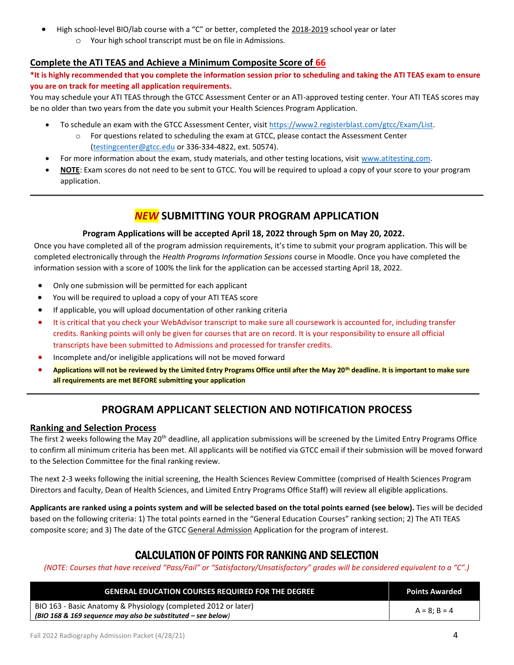- High school-level BIO/lab course with a "C" or better, completed the 2018-2019 school year or later
	- o Your high school transcript must be on file in Admissions.

#### **Complete the ATI TEAS and Achieve a Minimum Composite Score of 66**

**\*It is highly recommended that you complete the information session prior to scheduling and taking the ATI TEAS exam to ensure you are on track for meeting all application requirements.**

You may schedule your ATI TEAS through the GTCC Assessment Center or an ATI-approved testing center. Your ATI TEAS scores may be no older than two years from the date you submit your Health Sciences Program Application.

- To schedule an exam with the GTCC Assessment Center, visi[t https://www2.registerblast.com/gtcc/Exam/List.](https://www2.registerblast.com/gtcc/Exam/List)
	- o For questions related to scheduling the exam at GTCC, please contact the Assessment Center [\(testingcenter@gtcc.edu](mailto:testingcenter@gtcc.edu) or 336-334-4822, ext. 50574).
- For more information about the exam, study materials, and other testing locations, visit [www.atitesting.com.](http://www.atitesting.com/)
- **NOTE**: Exam scores do not need to be sent to GTCC. You will be required to upload a copy of your score to your program application.

## *NEW* **SUBMITTING YOUR PROGRAM APPLICATION**

#### **Program Applications will be accepted April 18, 2022 through 5pm on May 20, 2022.**

Once you have completed all of the program admission requirements, it's time to submit your program application. This will be completed electronically through the *Health Programs Information Sessions* course in Moodle. Once you have completed the information session with a score of 100% the link for the application can be accessed starting April 18, 2022.

- Only one submission will be permitted for each applicant
- You will be required to upload a copy of your ATI TEAS score
- If applicable, you will upload documentation of other ranking criteria
- It is critical that you check your WebAdvisor transcript to make sure all coursework is accounted for, including transfer credits. Ranking points will only be given for courses that are on record. It is your responsibility to ensure all official transcripts have been submitted to Admissions and processed for transfer credits.
- Incomplete and/or ineligible applications will not be moved forward
- **Applications will not be reviewed by the Limited Entry Programs Office until after the May 20th deadline. It is important to make sure all requirements are met BEFORE submitting your application**

## **PROGRAM APPLICANT SELECTION AND NOTIFICATION PROCESS**

#### **Ranking and Selection Process**

The first 2 weeks following the May 20<sup>th</sup> deadline, all application submissions will be screened by the Limited Entry Programs Office to confirm all minimum criteria has been met. All applicants will be notified via GTCC email if their submission will be moved forward to the Selection Committee for the final ranking review.

The next 2-3 weeks following the initial screening, the Health Sciences Review Committee (comprised of Health Sciences Program Directors and faculty, Dean of Health Sciences, and Limited Entry Programs Office Staff) will review all eligible applications.

**Applicants are ranked using a points system and will be selected based on the total points earned (see below).** Ties will be decided based on the following criteria: 1) The total points earned in the "General Education Courses" ranking section; 2) The ATI TEAS composite score; and 3) The date of the GTCC General Admission Application for the program of interest.

## CALCULATION OF POINTS FOR RANKING AND SELECTION

*(NOTE: Courses that have received "Pass/Fail" or "Satisfactory/Unsatisfactory" grades will be considered equivalent to a "C".)*

| <b>GENERAL EDUCATION COURSES REQUIRED FOR THE DEGREE</b>       | <b>Points Awarded</b> |  |
|----------------------------------------------------------------|-----------------------|--|
| BIO 163 - Basic Anatomy & Physiology (completed 2012 or later) | $A = 8: B = 4$        |  |
| (BIO 168 & 169 sequence may also be substituted $-$ see below) |                       |  |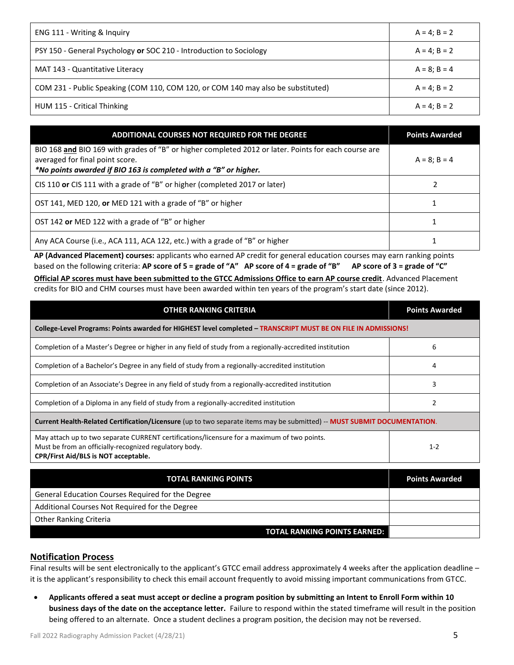| ENG 111 - Writing & Inquiry                                                      | $A = 4$ ; $B = 2$ |
|----------------------------------------------------------------------------------|-------------------|
| PSY 150 - General Psychology or SOC 210 - Introduction to Sociology              | $A = 4: B = 2$    |
| MAT 143 - Quantitative Literacy                                                  | $A = 8: B = 4$    |
| COM 231 - Public Speaking (COM 110, COM 120, or COM 140 may also be substituted) | $A = 4$ ; $B = 2$ |
| HUM 115 - Critical Thinking                                                      | $A = 4$ ; $B = 2$ |

| ADDITIONAL COURSES NOT REQUIRED FOR THE DEGREE                                                                                                                                                              | <b>Points Awarded</b> |
|-------------------------------------------------------------------------------------------------------------------------------------------------------------------------------------------------------------|-----------------------|
| BIO 168 and BIO 169 with grades of "B" or higher completed 2012 or later. Points for each course are<br>averaged for final point score.<br>*No points awarded if BIO 163 is completed with a "B" or higher. | $A = 8$ ; B = 4       |
| CIS 110 or CIS 111 with a grade of "B" or higher (completed 2017 or later)                                                                                                                                  |                       |
| OST 141, MED 120, or MED 121 with a grade of "B" or higher                                                                                                                                                  |                       |
| OST 142 or MED 122 with a grade of "B" or higher                                                                                                                                                            |                       |
| Any ACA Course (i.e., ACA 111, ACA 122, etc.) with a grade of "B" or higher                                                                                                                                 |                       |

**AP (Advanced Placement) courses:** applicants who earned AP credit for general education courses may earn ranking points based on the following criteria: **AP score of 5 = grade of "A" AP score of 4 = grade of "B" AP score of 3 = grade of "C" Official AP scores must have been submitted to the GTCC Admissions Office to earn AP course credit**. Advanced Placement credits for BIO and CHM courses must have been awarded within ten years of the program's start date (since 2012).

| <b>OTHER RANKING CRITERIA</b>                                                                                                                                                                 | <b>Points Awarded</b> |  |
|-----------------------------------------------------------------------------------------------------------------------------------------------------------------------------------------------|-----------------------|--|
| College-Level Programs: Points awarded for HIGHEST level completed - TRANSCRIPT MUST BE ON FILE IN ADMISSIONS!                                                                                |                       |  |
| Completion of a Master's Degree or higher in any field of study from a regionally-accredited institution                                                                                      | 6                     |  |
| Completion of a Bachelor's Degree in any field of study from a regionally-accredited institution                                                                                              | 4                     |  |
| Completion of an Associate's Degree in any field of study from a regionally-accredited institution                                                                                            | 3                     |  |
| Completion of a Diploma in any field of study from a regionally-accredited institution                                                                                                        |                       |  |
| Current Health-Related Certification/Licensure (up to two separate items may be submitted) -- MUST SUBMIT DOCUMENTATION.                                                                      |                       |  |
| May attach up to two separate CURRENT certifications/licensure for a maximum of two points.<br>Must be from an officially-recognized regulatory body.<br>CPR/First Aid/BLS is NOT acceptable. | $1 - 2$               |  |

| <b>TOTAL RANKING POINTS</b>                       | <b>Points Awarded</b> |
|---------------------------------------------------|-----------------------|
| General Education Courses Required for the Degree |                       |
| Additional Courses Not Required for the Degree    |                       |
| <b>Other Ranking Criteria</b>                     |                       |
| <b>TOTAL RANKING POINTS EARNED:</b>               |                       |

#### **Notification Process**

Final results will be sent electronically to the applicant's GTCC email address approximately 4 weeks after the application deadline – it is the applicant's responsibility to check this email account frequently to avoid missing important communications from GTCC.

• **Applicants offered a seat must accept or decline a program position by submitting an Intent to Enroll Form within 10 business days of the date on the acceptance letter.** Failure to respond within the stated timeframe will result in the position being offered to an alternate. Once a student declines a program position, the decision may not be reversed.